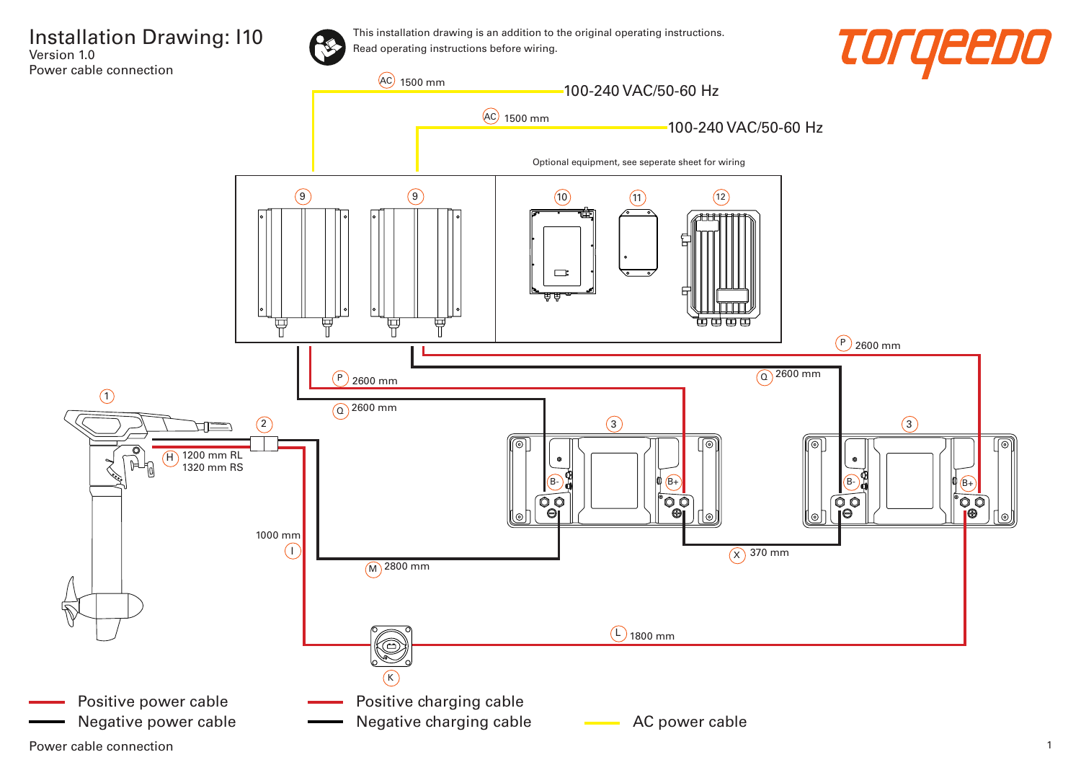

This installation drawing is an addition to the original operating instructions. Read operating instructions before wiring.





Power cable connection 2008 and 2008 and 2008 and 2008 and 2008 and 2008 and 2008 and 2008 and 2008 and 2008 and 2008 and 2008 and 2008 and 2008 and 2008 and 2008 and 2008 and 2008 and 2008 and 2008 and 2008 and 2008 and 2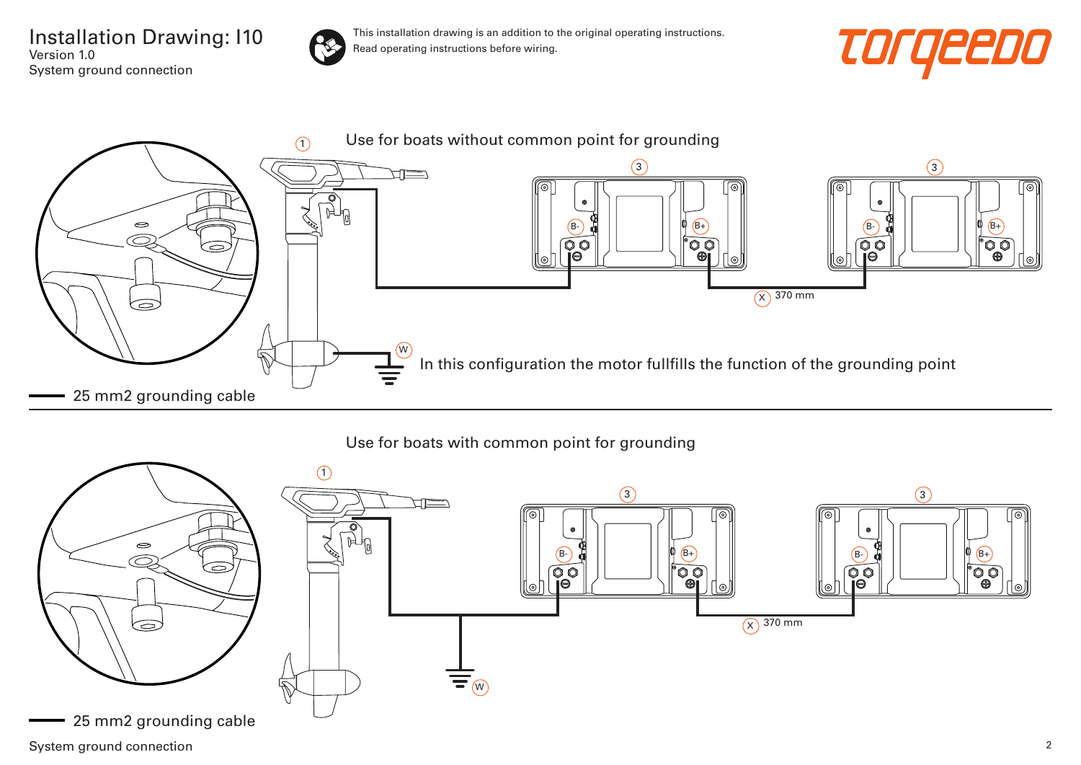Installation Drawing: I10 Version 1.0 System ground connection



This installation drawing is an addition to the original operating instructions. Read operating instructions before wiring.





## Use for boats with common point for grounding

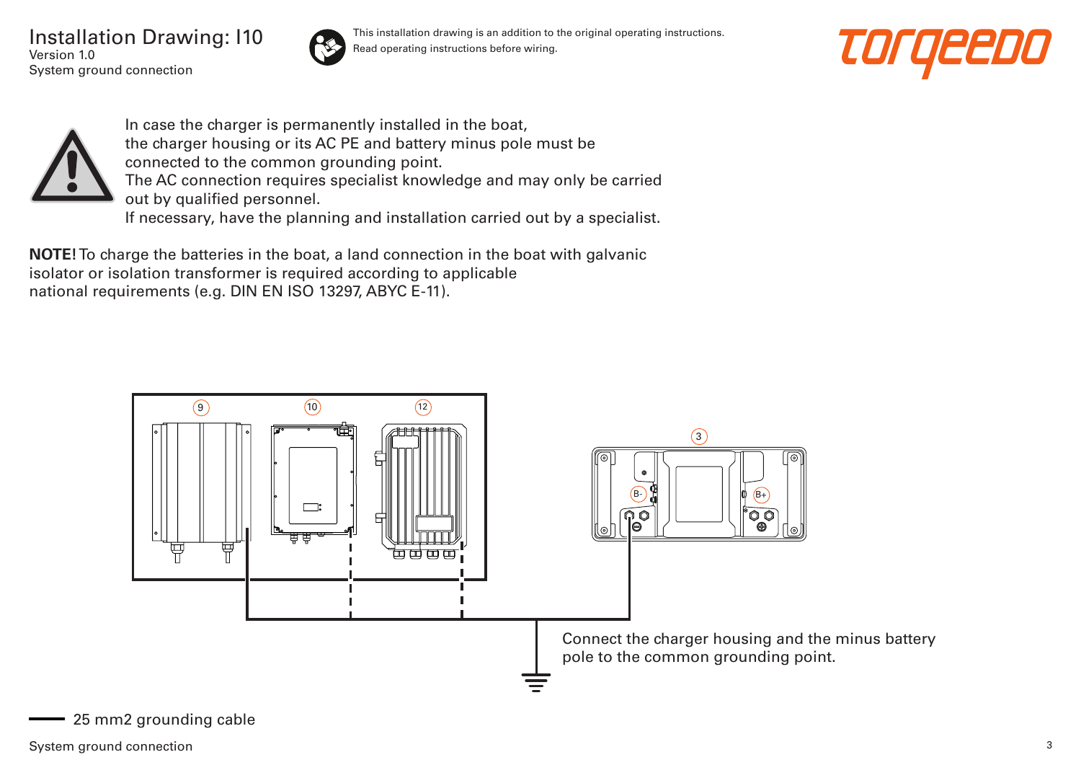Installation Drawing: I10 Version 1.0 System ground connection



This installation drawing is an addition to the original operating instructions. Read operating instructions before wiring.





In case the charger is permanently installed in the boat, the charger housing or its AC PE and battery minus pole must be connected to the common grounding point. The AC connection requires specialist knowledge and may only be carried out by qualified personnel. If necessary, have the planning and installation carried out by a specialist.

**NOTE!** To charge the batteries in the boat, a land connection in the boat with galvanic isolator or isolation transformer is required according to applicable national requirements (e.g. DIN EN ISO 13297, ABYC E-11).

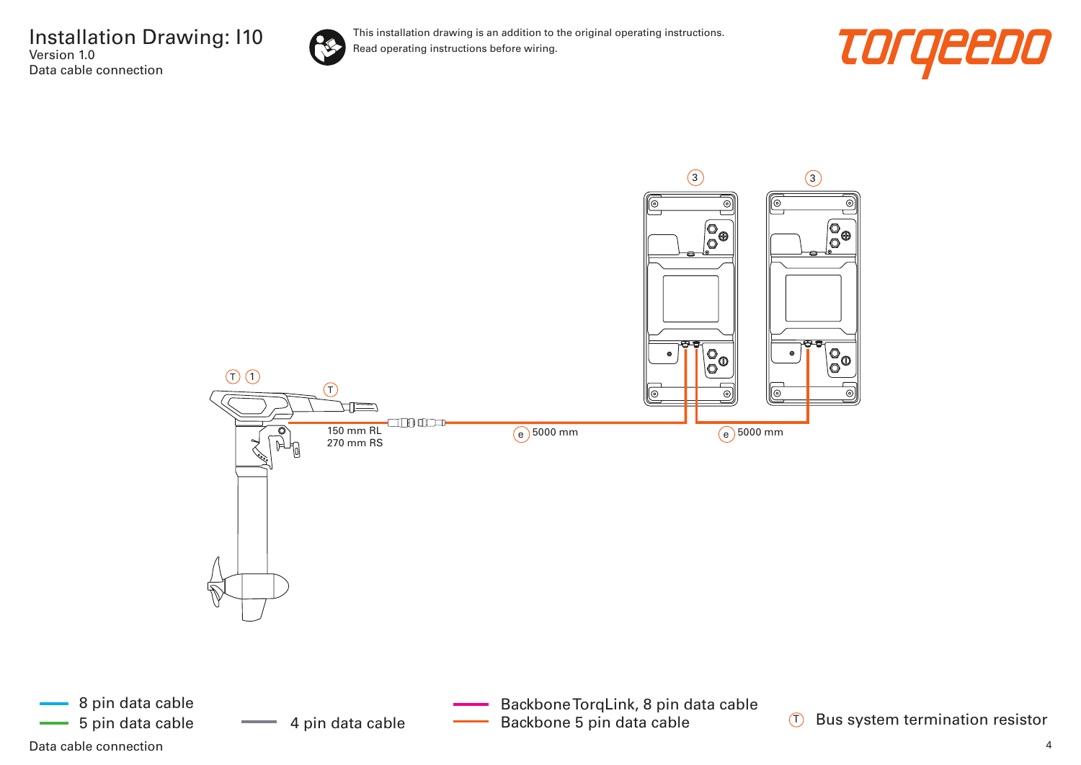

This installation drawing is an addition to the original operating instructions. Read operating instructions before wiring.





Data cable connection and the connection of the control of the control of the control of the connection of the connection of the connection of the connection of the connection of the connection of the connection of the con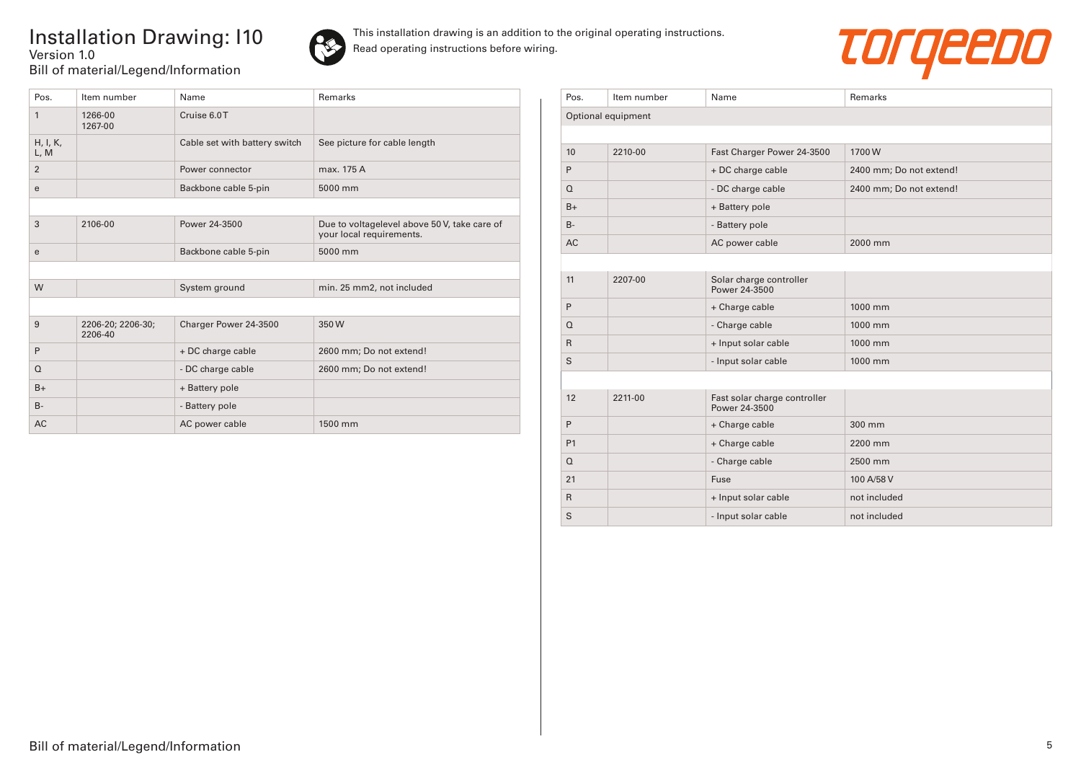## Installation Drawing: I10 Version 1.0 Bill of material/Legend/Information





| Pos.             | Item number                  | Name                          | Remarks                                                                  |
|------------------|------------------------------|-------------------------------|--------------------------------------------------------------------------|
| 1                | 1266-00<br>1267-00           | Cruise 6.0T                   |                                                                          |
| H, I, K,<br>L, M |                              | Cable set with battery switch | See picture for cable length                                             |
| $\overline{2}$   |                              | Power connector               | max. 175 A                                                               |
| e                |                              | Backbone cable 5-pin          | 5000 mm                                                                  |
|                  |                              |                               |                                                                          |
| 3                | 2106-00                      | Power 24-3500                 | Due to voltagelevel above 50 V, take care of<br>your local requirements. |
| e                |                              | Backbone cable 5-pin          | 5000 mm                                                                  |
|                  |                              |                               |                                                                          |
| W                |                              | System ground                 | min. 25 mm2, not included                                                |
|                  |                              |                               |                                                                          |
| 9                | 2206-20; 2206-30;<br>2206-40 | Charger Power 24-3500         | 350W                                                                     |
| P                |                              | + DC charge cable             | 2600 mm; Do not extend!                                                  |
| $\Omega$         |                              | - DC charge cable             | 2600 mm; Do not extend!                                                  |
| $B+$             |                              | + Battery pole                |                                                                          |
| $B -$            |                              | - Battery pole                |                                                                          |
| <b>AC</b>        |                              | AC power cable                | 1500 mm                                                                  |

| Pos.               | Item number | Name                                          | Remarks                 |  |  |  |
|--------------------|-------------|-----------------------------------------------|-------------------------|--|--|--|
| Optional equipment |             |                                               |                         |  |  |  |
|                    |             |                                               |                         |  |  |  |
| 10                 | 2210-00     | Fast Charger Power 24-3500                    | 1700W                   |  |  |  |
| P                  |             | + DC charge cable                             | 2400 mm; Do not extend! |  |  |  |
| Q                  |             | - DC charge cable                             | 2400 mm; Do not extend! |  |  |  |
| $B+$               |             | + Battery pole                                |                         |  |  |  |
| $B -$              |             | - Battery pole                                |                         |  |  |  |
| <b>AC</b>          |             | AC power cable                                | 2000 mm                 |  |  |  |
|                    |             |                                               |                         |  |  |  |
| 11                 | 2207-00     | Solar charge controller<br>Power 24-3500      |                         |  |  |  |
| P                  |             | + Charge cable                                | 1000 mm                 |  |  |  |
| $\Omega$           |             | - Charge cable                                | 1000 mm                 |  |  |  |
| $\mathsf{R}$       |             | + Input solar cable                           | 1000 mm                 |  |  |  |
| S                  |             | - Input solar cable                           | 1000 mm                 |  |  |  |
|                    |             |                                               |                         |  |  |  |
| 12                 | 2211-00     | Fast solar charge controller<br>Power 24-3500 |                         |  |  |  |
| P                  |             | + Charge cable                                | 300 mm                  |  |  |  |
| P <sub>1</sub>     |             | + Charge cable                                | 2200 mm                 |  |  |  |
| $\Omega$           |             | - Charge cable                                | 2500 mm                 |  |  |  |
| 21                 |             | Fuse                                          | 100 A/58 V              |  |  |  |
| R.                 |             | + Input solar cable                           | not included            |  |  |  |
| S                  |             | - Input solar cable                           | not included            |  |  |  |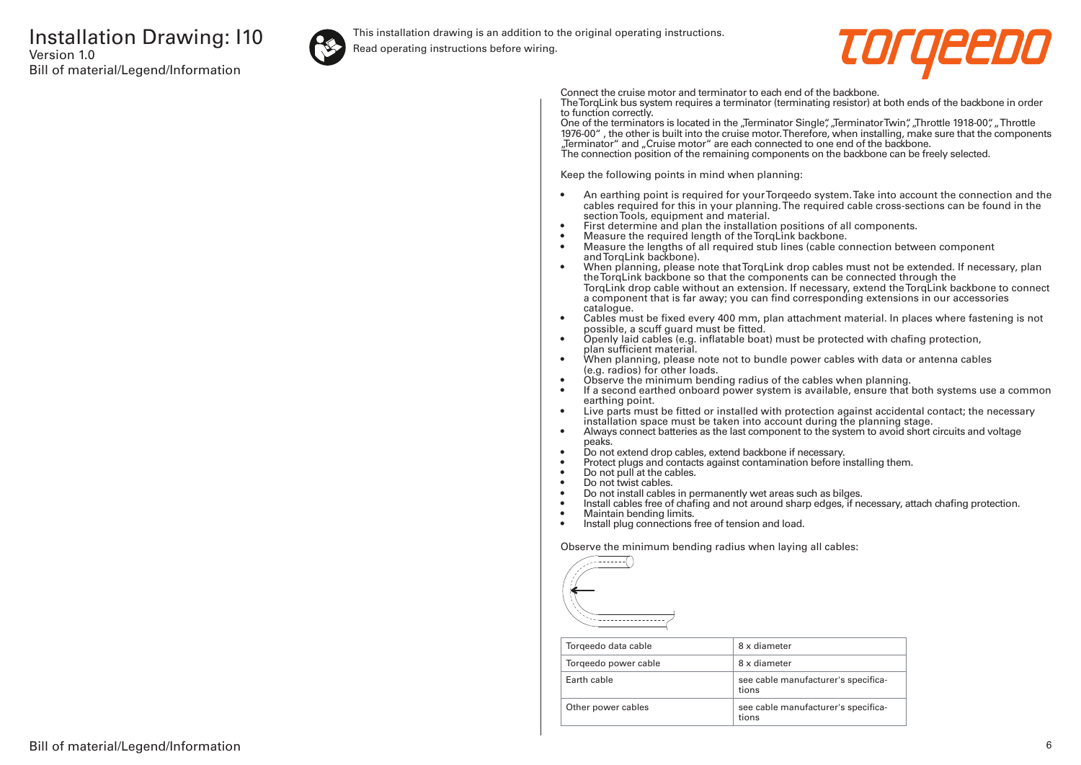

This installation drawing is an addition to the original operating instructions.

Read operating instructions before wiring.



Connect the cruise motor and terminator to each end of the backbone.

The TorqLink bus system requires a terminator (terminating resistor) at both ends of the backbone in order to function correctly.

One of the terminators is located in the "Terminator Single", "Terminator Twin", "Throttle 1918-00", "Throttle 1976-00" , the other is built into the cruise motor. Therefore, when installing, make sure that the components "Terminator" and "Cruise motor" are each connected to one end of the backbone. The connection position of the remaining components on the backbone can be freely selected.

Keep the following points in mind when planning:

- An earthing point is required for your Torqeedo system. Take into account the connection and the cables required for this in your planning. The required cable cross-sections can be found in the section Tools, equipment and material.
- First determine and plan the installation positions of all components.
- Measure the required length of the TorqLink backbone.<br>• Measure the lengths of all required stub lines (cable co
- Measure the lengths of all required stub lines (cable connection between component and TorqLink backbone).
- When planning, please note that TorqLink drop cables must not be extended. If necessary, plan the TorqLink backbone so that the components can be connected through the TorqLink drop cable without an extension. If necessary, extend the TorqLink backbone to connect a component that is far away; you can find corresponding extensions in our accessories catalogue.
- Cables must be fixed every 400 mm, plan attachment material. In places where fastening is not possible, a scuff guard must be fitted.
- Openly laid cables (e.g. inflatable boat) must be protected with chafing protection, plan sufficient material.
- When planning, please note not to bundle power cables with data or antenna cables (e.g. radios) for other loads.
- Observe the minimum bending radius of the cables when planning.
- If a second earthed onboard power system is available, ensure that both systems use a common earthing point.
- Live parts must be fitted or installed with protection against accidental contact; the necessary installation space must be taken into account during the planning stage.
- Always connect batteries as the last component to the system to avoid short circuits and voltage peaks.
- Do not extend drop cables, extend backbone if necessary.
- Protect plugs and contacts against contamination before installing them.
- Do not pull at the cables.
- Do not twist cables.
- Do not install cables in permanently wet areas such as bilges.
- Install cables free of chafing and not around sharp edges, if necessary, attach chafing protection.<br>• Maintain bending limits
- Maintain bending limits.
- Install plug connections free of tension and load.

Observe the minimum bending radius when laying all cables:



| Torgeedo data cable  | 8 x diameter                                 |
|----------------------|----------------------------------------------|
| Torgeedo power cable | 8 x diameter                                 |
| Farth cable          | see cable manufacturer's specifica-<br>tions |
| Other power cables   | see cable manufacturer's specifica-<br>tions |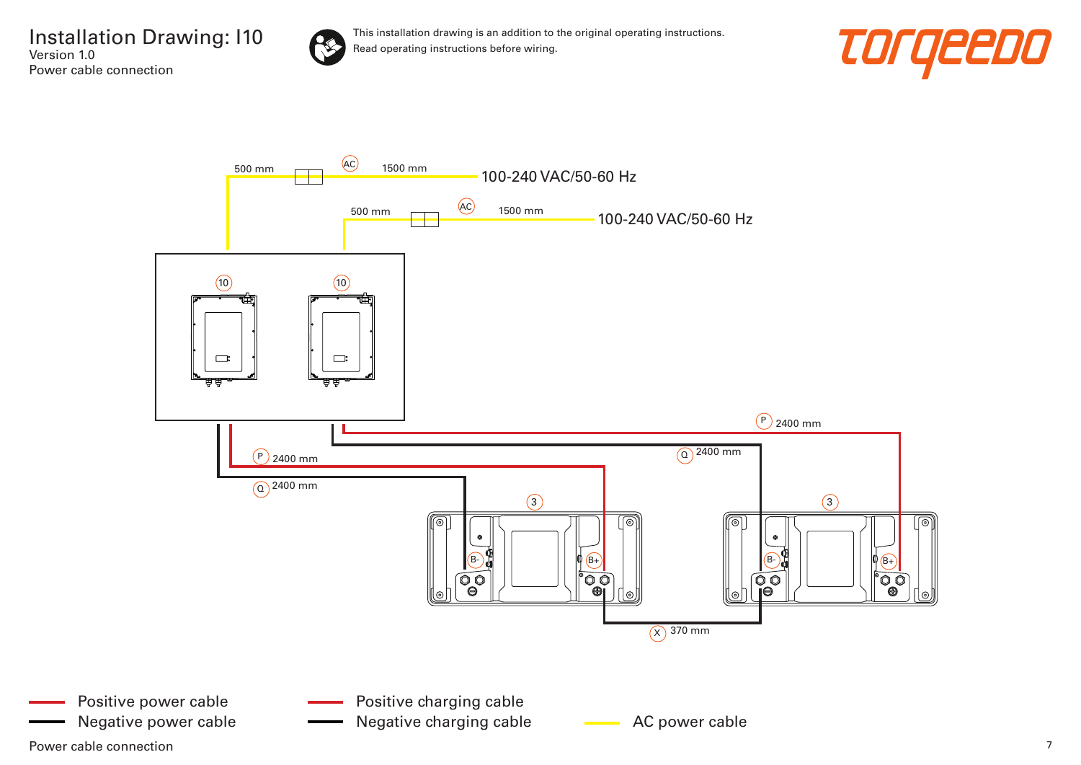



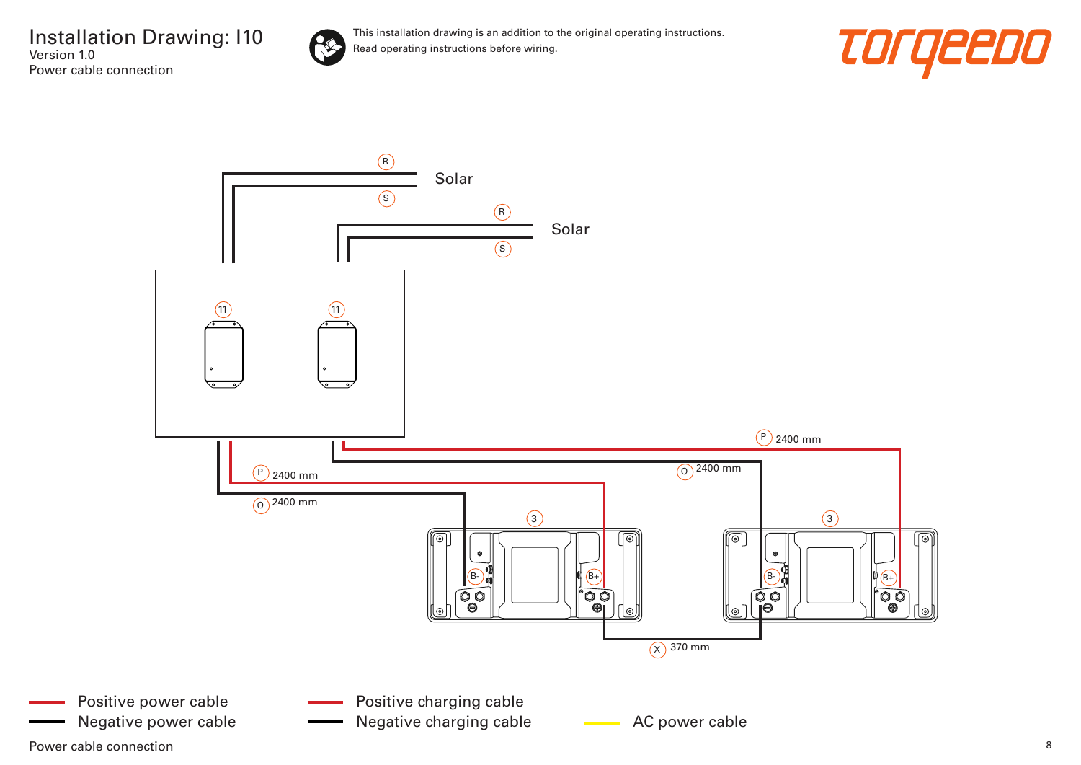